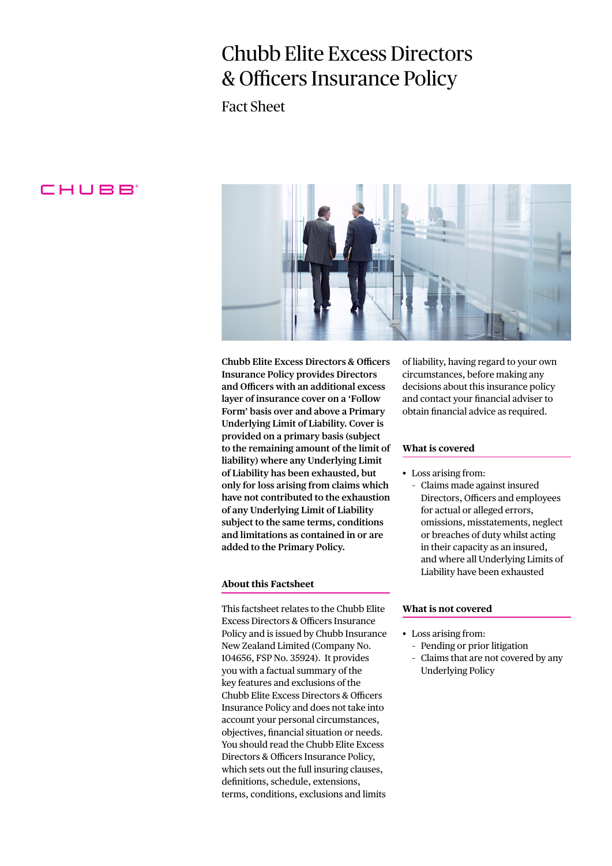# Chubb Elite Excess Directors & Officers Insurance Policy

Fact Sheet

# CHUBB



**Chubb Elite Excess Directors & Officers Insurance Policy provides Directors and Officers with an additional excess layer of insurance cover on a 'Follow Form' basis over and above a Primary Underlying Limit of Liability. Cover is provided on a primary basis (subject to the remaining amount of the limit of liability) where any Underlying Limit of Liability has been exhausted, but only for loss arising from claims which have not contributed to the exhaustion of any Underlying Limit of Liability subject to the same terms, conditions and limitations as contained in or are added to the Primary Policy.**

### **About this Factsheet**

This factsheet relates to the Chubb Elite Excess Directors & Officers Insurance Policy and is issued by Chubb Insurance New Zealand Limited (Company No. 104656, FSP No. 35924). It provides you with a factual summary of the key features and exclusions of the Chubb Elite Excess Directors & Officers Insurance Policy and does not take into account your personal circumstances, objectives, financial situation or needs. You should read the Chubb Elite Excess Directors & Officers Insurance Policy, which sets out the full insuring clauses, definitions, schedule, extensions, terms, conditions, exclusions and limits

of liability, having regard to your own circumstances, before making any decisions about this insurance policy and contact your financial adviser to obtain financial advice as required.

## **What is covered**

- Loss arising from:
	- Claims made against insured Directors, Officers and employees for actual or alleged errors, omissions, misstatements, neglect or breaches of duty whilst acting in their capacity as an insured, and where all Underlying Limits of Liability have been exhausted

### **What is not covered**

- Loss arising from:
	- Pending or prior litigation
	- Claims that are not covered by any Underlying Policy